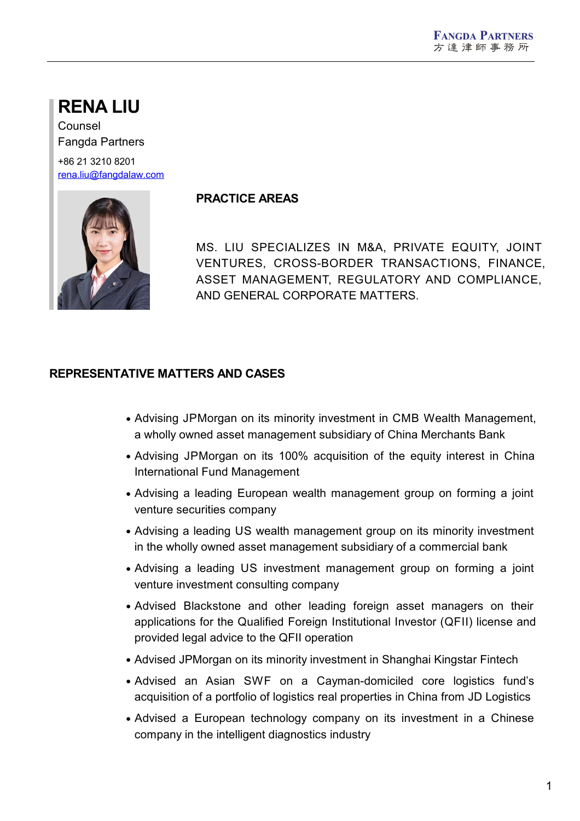# **RENA LIU**

Counsel Fangda Partners

+86 21 3210 8201 [rena.liu@fangdalaw.com](mailto:rena.liu@fangdalaw.com)



## **PRACTICE AREAS**

MS. LIU SPECIALIZES IN M&A, PRIVATE EQUITY, JOINT VENTURES, CROSS-BORDER TRANSACTIONS, FINANCE, ASSET MANAGEMENT, REGULATORY AND COMPLIANCE, AND GENERAL CORPORATE MATTERS.

## **REPRESENTATIVE MATTERS AND CASES**

- Advising JPMorgan on its minority investment in CMB Wealth Management, a wholly owned asset management subsidiary of China Merchants Bank
- Advising JPMorgan on its 100% acquisition of the equity interest in China International Fund Management
- Advising a leading European wealth management group on forming a joint venture securities company
- Advising a leading US wealth management group on its minority investment in the wholly owned asset management subsidiary of a commercial bank
- Advising a leading US investment management group on forming a joint venture investment consulting company
- Advised Blackstone and other leading foreign asset managers on their applications for the Qualified Foreign Institutional Investor (QFII) license and provided legal advice to the QFII operation
- Advised JPMorgan on its minority investment in Shanghai Kingstar Fintech
- Advised an Asian SWF on a Cayman-domiciled core logistics fund's acquisition of a portfolio of logistics real properties in China from JD Logistics
- Advised a European technology company on its investment in a Chinese company in the intelligent diagnostics industry